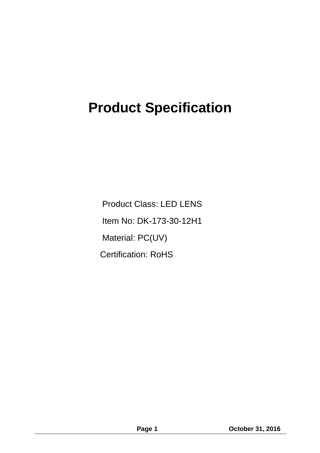# **Product Specification**

Product Class: LED LENS Item No: DK-173-30-12H1 Material: PC(UV) Certification: RoHS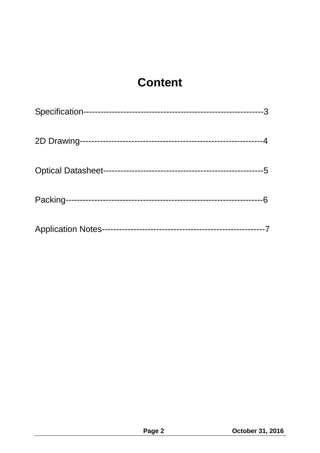### **Content**

| <b>Application Notes-</b> |  |
|---------------------------|--|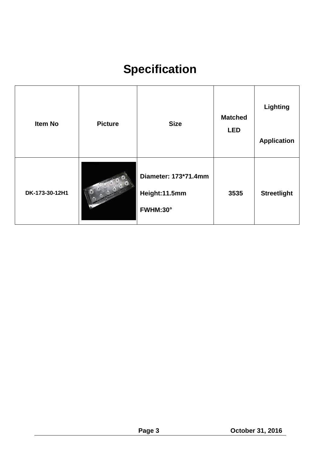## **Specification**

| <b>Item No</b> | <b>Picture</b> | <b>Size</b>                                       | <b>Matched</b><br><b>LED</b> | Lighting<br><b>Application</b> |
|----------------|----------------|---------------------------------------------------|------------------------------|--------------------------------|
| DK-173-30-12H1 |                | Diameter: 173*71.4mm<br>Height:11.5mm<br>FWHM:30° | 3535                         | <b>Streetlight</b>             |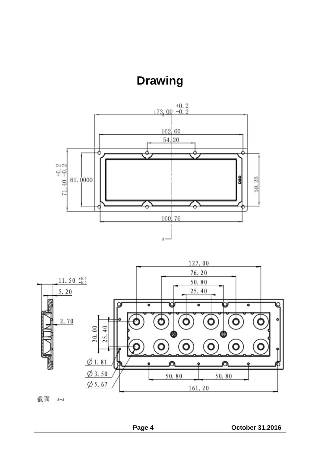**Drawing**





截面 A-A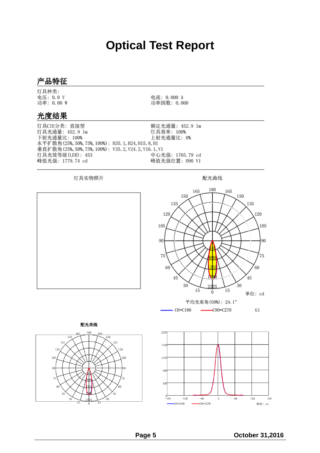### **Optical Test Report**

电流: 0.000 A

功率因数: 0.000

#### 产品特征

灯具种类: 电压: 0.0 V 功率: 0.00 W

#### 光度结果

额定光通量: 452.9 1m 灯具CIE分类: 直接型 灯具光通量: 452.9 1m 灯具效率: 100% 下射光通量比: 100% 上射光通量比: 0% 水平扩散角(25%, 50%, 75%, 100%): H35. 1, H24, H15. 8, H1 垂直扩散角(25%, 50%, 75%, 100%): V35.2, V24.2, V16.1, V1 中心光强: 1765.79 cd 灯具光效等级(LER): 453 峰值光强: 1779.74 cd 峰值光强位置: H90 V1

灯具实物照片

配光曲线



120

180

单位: cd

120

105

90

75

60

 $G1$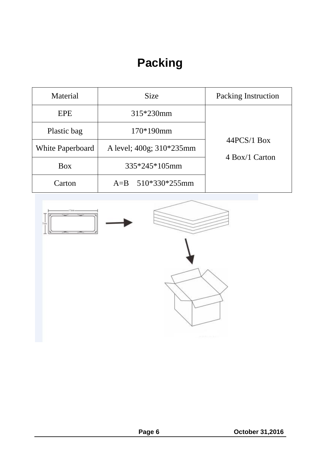### **Packing**

| Material         | <b>Size</b>              | <b>Packing Instruction</b>      |
|------------------|--------------------------|---------------------------------|
| <b>EPE</b>       | 315*230mm                | $44PCS/1$ Box<br>4 Box/1 Carton |
| Plastic bag      | 170*190mm                |                                 |
| White Paperboard | A level; 400g; 310*235mm |                                 |
| <b>Box</b>       | 335*245*105mm            |                                 |
| Carton           | A=B $510*330*255$ mm     |                                 |